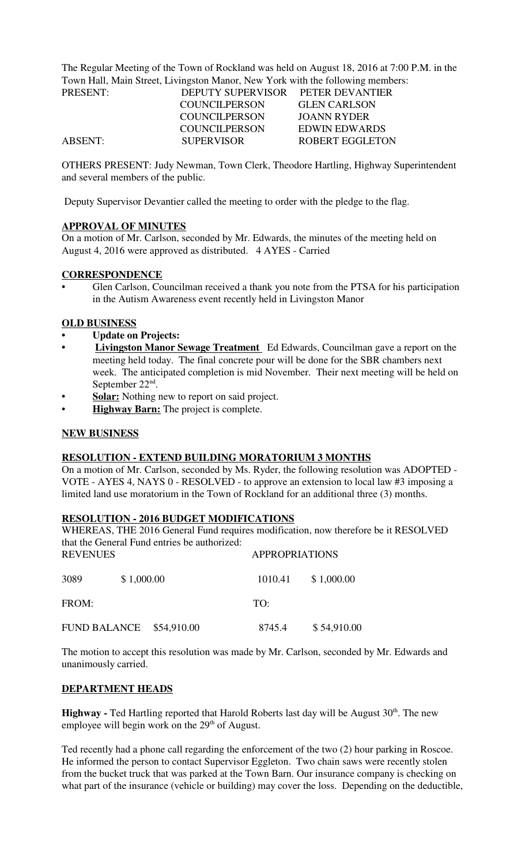The Regular Meeting of the Town of Rockland was held on August 18, 2016 at 7:00 P.M. in the Town Hall, Main Street, Livingston Manor, New York with the following members:

| PRESENT: | DEPUTY SUPERVISOR PETER DEVANTIER |                     |
|----------|-----------------------------------|---------------------|
|          | COUNCIL PERSON                    | <b>GLEN CARLSON</b> |
|          | <b>COUNCILPERSON</b>              | JOANN RYDER         |
|          | COUNCIL PERSON                    | EDWIN EDWARDS       |
| ABSENT:  | <b>SUPERVISOR</b>                 | ROBERT EGGLETON     |

OTHERS PRESENT: Judy Newman, Town Clerk, Theodore Hartling, Highway Superintendent and several members of the public.

Deputy Supervisor Devantier called the meeting to order with the pledge to the flag.

## **APPROVAL OF MINUTES**

On a motion of Mr. Carlson, seconded by Mr. Edwards, the minutes of the meeting held on August 4, 2016 were approved as distributed. 4 AYES - Carried

#### **CORRESPONDENCE**

Glen Carlson, Councilman received a thank you note from the PTSA for his participation in the Autism Awareness event recently held in Livingston Manor

## **OLD BUSINESS**

- **Update on Projects:**
- **Livingston Manor Sewage Treatment** Ed Edwards, Councilman gave a report on the meeting held today. The final concrete pour will be done for the SBR chambers next week. The anticipated completion is mid November. Their next meeting will be held on September 22<sup>nd</sup>.
- **Solar:** Nothing new to report on said project.
- **Highway Barn:** The project is complete.

#### **NEW BUSINESS**

#### **RESOLUTION - EXTEND BUILDING MORATORIUM 3 MONTHS**

On a motion of Mr. Carlson, seconded by Ms. Ryder, the following resolution was ADOPTED - VOTE - AYES 4, NAYS 0 - RESOLVED - to approve an extension to local law #3 imposing a limited land use moratorium in the Town of Rockland for an additional three (3) months.

## **RESOLUTION - 2016 BUDGET MODIFICATIONS**

WHEREAS, THE 2016 General Fund requires modification, now therefore be it RESOLVED that the General Fund entries be authorized: **APPROPRIATIONS** 

| 3089                     | \$1,000.00 | 1010.41 | \$1,000.00  |
|--------------------------|------------|---------|-------------|
| FROM:                    |            | TO:     |             |
| FUND BALANCE \$54,910.00 |            | 8745.4  | \$54,910.00 |

The motion to accept this resolution was made by Mr. Carlson, seconded by Mr. Edwards and unanimously carried.

#### **DEPARTMENT HEADS**

Highway - Ted Hartling reported that Harold Roberts last day will be August 30<sup>th</sup>. The new employee will begin work on the  $29<sup>th</sup>$  of August.

Ted recently had a phone call regarding the enforcement of the two (2) hour parking in Roscoe. He informed the person to contact Supervisor Eggleton. Two chain saws were recently stolen from the bucket truck that was parked at the Town Barn. Our insurance company is checking on what part of the insurance (vehicle or building) may cover the loss. Depending on the deductible,